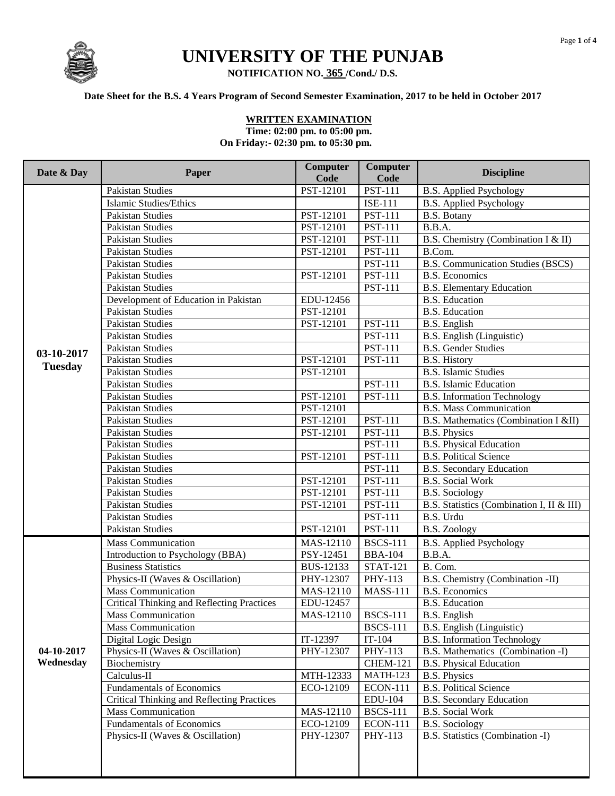## **UNIVERSITY OF THE PUNJAB**

**NOTIFICATION NO. 365 /Cond./ D.S.**

## **Date Sheet for the B.S. 4 Years Program of Second Semester Examination, 2017 to be held in October 2017**

## **WRITTEN EXAMINATION**

**Time: 02:00 pm. to 05:00 pm.**

 **On Friday:- 02:30 pm. to 05:30 pm.**

| Date & Day     | Paper                                             | <b>Computer</b><br>Code | <b>Computer</b><br>Code | <b>Discipline</b>                         |
|----------------|---------------------------------------------------|-------------------------|-------------------------|-------------------------------------------|
|                | <b>Pakistan Studies</b>                           | PST-12101               | <b>PST-111</b>          | <b>B.S. Applied Psychology</b>            |
|                | <b>Islamic Studies/Ethics</b>                     |                         | ISE-111                 | <b>B.S. Applied Psychology</b>            |
|                | Pakistan Studies                                  | PST-12101               | <b>PST-111</b>          | B.S. Botany                               |
|                | Pakistan Studies                                  | PST-12101               | $\overline{PST-111}$    | B.B.A.                                    |
|                | <b>Pakistan Studies</b>                           | PST-12101               | <b>PST-111</b>          | B.S. Chemistry (Combination I & II)       |
|                | Pakistan Studies                                  | PST-12101               | <b>PST-111</b>          | B.Com.                                    |
|                | Pakistan Studies                                  |                         | $\overline{PST-111}$    | <b>B.S. Communication Studies (BSCS)</b>  |
|                | <b>Pakistan Studies</b>                           | PST-12101               | <b>PST-111</b>          | <b>B.S. Economics</b>                     |
|                | <b>Pakistan Studies</b>                           |                         | <b>PST-111</b>          | <b>B.S. Elementary Education</b>          |
|                | Development of Education in Pakistan              | EDU-12456               |                         | <b>B.S.</b> Education                     |
|                | <b>Pakistan Studies</b>                           | PST-12101               |                         | <b>B.S.</b> Education                     |
|                | <b>Pakistan Studies</b>                           | PST-12101               | <b>PST-111</b>          | B.S. English                              |
|                | <b>Pakistan Studies</b>                           |                         | <b>PST-111</b>          | B.S. English (Linguistic)                 |
| 03-10-2017     | Pakistan Studies                                  |                         | <b>PST-111</b>          | <b>B.S. Gender Studies</b>                |
| <b>Tuesday</b> | <b>Pakistan Studies</b>                           | PST-12101               | <b>PST-111</b>          | <b>B.S.</b> History                       |
|                | <b>Pakistan Studies</b>                           | PST-12101               |                         | <b>B.S. Islamic Studies</b>               |
|                | <b>Pakistan Studies</b>                           |                         | <b>PST-111</b>          | <b>B.S. Islamic Education</b>             |
|                | <b>Pakistan Studies</b>                           | PST-12101               | <b>PST-111</b>          | <b>B.S.</b> Information Technology        |
|                | Pakistan Studies                                  | PST-12101               |                         | <b>B.S. Mass Communication</b>            |
|                | <b>Pakistan Studies</b>                           | <b>PST-12101</b>        | <b>PST-111</b>          | B.S. Mathematics (Combination I &II)      |
|                | <b>Pakistan Studies</b>                           | PST-12101               | <b>PST-111</b>          | <b>B.S. Physics</b>                       |
|                | Pakistan Studies                                  |                         | <b>PST-111</b>          | <b>B.S. Physical Education</b>            |
|                | <b>Pakistan Studies</b>                           | PST-12101               | <b>PST-111</b>          | <b>B.S. Political Science</b>             |
|                | Pakistan Studies                                  |                         | <b>PST-111</b>          | <b>B.S. Secondary Education</b>           |
|                | Pakistan Studies                                  | PST-12101               | <b>PST-111</b>          | <b>B.S. Social Work</b>                   |
|                | <b>Pakistan Studies</b>                           | PST-12101               | <b>PST-111</b>          | <b>B.S. Sociology</b>                     |
|                | Pakistan Studies                                  | PST-12101               | <b>PST-111</b>          | B.S. Statistics (Combination I, II & III) |
|                | <b>Pakistan Studies</b>                           |                         | <b>PST-111</b>          | B.S. Urdu                                 |
|                | <b>Pakistan Studies</b>                           | PST-12101               | <b>PST-111</b>          | B.S. Zoology                              |
|                | <b>Mass Communication</b>                         | MAS-12110               | <b>BSCS-111</b>         | <b>B.S. Applied Psychology</b>            |
|                | Introduction to Psychology (BBA)                  | PSY-12451               | <b>BBA-104</b>          | B.B.A.                                    |
|                | <b>Business Statistics</b>                        | <b>BUS-12133</b>        | <b>STAT-121</b>         | B. Com.                                   |
|                | Physics-II (Waves & Oscillation)                  | PHY-12307               | PHY-113                 | B.S. Chemistry (Combination -II)          |
|                | <b>Mass Communication</b>                         | MAS-12110               | <b>MASS-111</b>         | <b>B.S. Economics</b>                     |
|                | <b>Critical Thinking and Reflecting Practices</b> | EDU-12457               |                         | <b>B.S.</b> Education                     |
|                | Mass Communication                                | MAS-12110               | <b>BSCS-111</b>         | B.S. English                              |
|                | <b>Mass Communication</b>                         |                         | <b>BSCS-111</b>         | B.S. English (Linguistic)                 |
|                | Digital Logic Design                              | IT-12397                | $IT-104$                | <b>B.S.</b> Information Technology        |
| 04-10-2017     | Physics-II (Waves & Oscillation)                  | PHY-12307               | PHY-113                 | B.S. Mathematics (Combination -I)         |
| Wednesday      | Biochemistry                                      |                         | <b>CHEM-121</b>         | <b>B.S. Physical Education</b>            |
|                | Calculus-II                                       | MTH-12333               | <b>MATH-123</b>         | <b>B.S. Physics</b>                       |
|                | <b>Fundamentals of Economics</b>                  | ECO-12109               | <b>ECON-111</b>         | <b>B.S. Political Science</b>             |
|                | <b>Critical Thinking and Reflecting Practices</b> |                         | <b>EDU-104</b>          | <b>B.S. Secondary Education</b>           |
|                | <b>Mass Communication</b>                         | MAS-12110               | <b>BSCS-111</b>         | <b>B.S. Social Work</b>                   |
|                | <b>Fundamentals of Economics</b>                  | ECO-12109               | <b>ECON-111</b>         | <b>B.S. Sociology</b>                     |
|                | Physics-II (Waves & Oscillation)                  | PHY-12307               | PHY-113                 | B.S. Statistics (Combination -I)          |
|                |                                                   |                         |                         |                                           |
|                |                                                   |                         |                         |                                           |
|                |                                                   |                         |                         |                                           |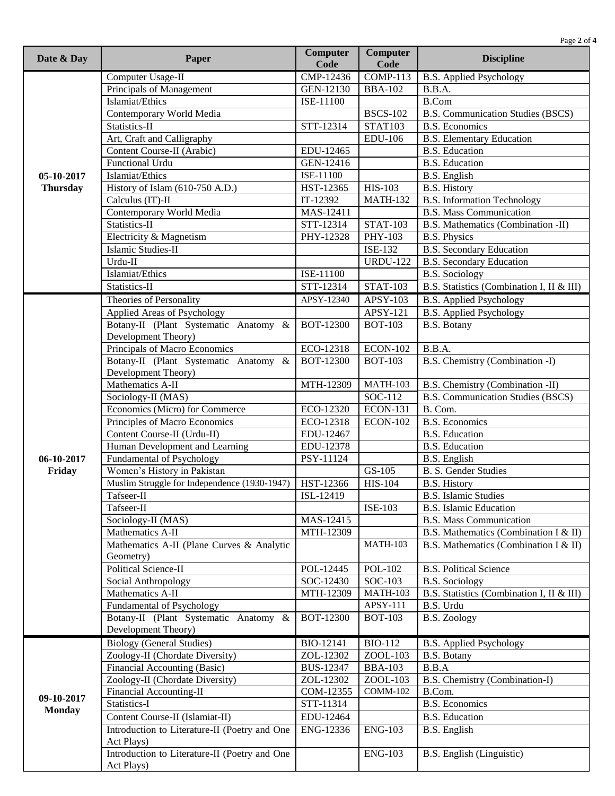|                               |                                                        |                                |                         | Page 2 of 4                               |
|-------------------------------|--------------------------------------------------------|--------------------------------|-------------------------|-------------------------------------------|
| Date & Day                    | Paper                                                  | <b>Computer</b><br><b>Code</b> | Computer<br><b>Code</b> | <b>Discipline</b>                         |
|                               | Computer Usage-II                                      | CMP-12436                      | COMP-113                | <b>B.S. Applied Psychology</b>            |
|                               | Principals of Management                               | GEN-12130                      | <b>BBA-102</b>          | B.B.A.                                    |
|                               | Islamiat/Ethics                                        | ISE-11100                      |                         | <b>B.Com</b>                              |
|                               | Contemporary World Media                               |                                | <b>BSCS-102</b>         | B.S. Communication Studies (BSCS)         |
|                               | Statistics-II                                          | STT-12314                      | <b>STAT103</b>          | <b>B.S. Economics</b>                     |
|                               | Art, Craft and Calligraphy                             |                                | <b>EDU-106</b>          | <b>B.S. Elementary Education</b>          |
|                               | Content Course-II (Arabic)                             | EDU-12465                      |                         | <b>B.S.</b> Education                     |
|                               | <b>Functional Urdu</b>                                 | GEN-12416                      |                         | <b>B.S.</b> Education                     |
| 05-10-2017<br><b>Thursday</b> | Islamiat/Ethics                                        | ISE-11100                      |                         | <b>B.S.</b> English                       |
|                               | History of Islam (610-750 A.D.)                        | HST-12365                      | <b>HIS-103</b>          | <b>B.S. History</b>                       |
|                               | Calculus (IT)-II                                       | IT-12392                       | <b>MATH-132</b>         | <b>B.S.</b> Information Technology        |
|                               | Contemporary World Media                               | MAS-12411                      |                         | <b>B.S. Mass Communication</b>            |
|                               | Statistics-II                                          | STT-12314                      | $\overline{STAT}$ -103  | B.S. Mathematics (Combination -II)        |
|                               | Electricity & Magnetism                                | PHY-12328                      | PHY-103                 | <b>B.S. Physics</b>                       |
|                               | Islamic Studies-II                                     |                                | <b>ISE-132</b>          | <b>B.S. Secondary Education</b>           |
|                               | Urdu-II                                                |                                | $URDU-122$              | <b>B.S. Secondary Education</b>           |
|                               | Islamiat/Ethics                                        | ISE-11100                      |                         | <b>B.S. Sociology</b>                     |
|                               | Statistics-II                                          | STT-12314                      | <b>STAT-103</b>         | B.S. Statistics (Combination I, II & III) |
|                               | Theories of Personality                                | APSY-12340                     | APSY-103                | <b>B.S. Applied Psychology</b>            |
|                               | Applied Areas of Psychology                            |                                | APSY-121                | <b>B.S. Applied Psychology</b>            |
|                               | Botany-II (Plant Systematic Anatomy &                  | BOT-12300                      | <b>BOT-103</b>          | <b>B.S. Botany</b>                        |
|                               | Development Theory)                                    |                                |                         |                                           |
|                               | Principals of Macro Economics                          | ECO-12318                      | <b>ECON-102</b>         | B.B.A.                                    |
|                               | Botany-II (Plant Systematic Anatomy &                  | <b>BOT-12300</b>               | <b>BOT-103</b>          | B.S. Chemistry (Combination -I)           |
|                               | Development Theory)                                    |                                |                         |                                           |
|                               | Mathematics A-II                                       | MTH-12309                      | <b>MATH-103</b>         | B.S. Chemistry (Combination -II)          |
|                               | Sociology-II (MAS)                                     |                                | SOC-112                 | <b>B.S. Communication Studies (BSCS)</b>  |
|                               | Economics (Micro) for Commerce                         | ECO-12320                      | ECON-131                | B. Com.                                   |
|                               | Principles of Macro Economics                          | ECO-12318                      | <b>ECON-102</b>         | <b>B.S. Economics</b>                     |
|                               | Content Course-II (Urdu-II)                            | EDU-12467                      |                         | <b>B.S.</b> Education                     |
|                               | Human Development and Learning                         | EDU-12378                      |                         | <b>B.S.</b> Education                     |
| 06-10-2017                    | Fundamental of Psychology                              | PSY-11124                      |                         | <b>B.S.</b> English                       |
| Friday                        | Women's History in Pakistan                            |                                | GS-105                  | B. S. Gender Studies                      |
|                               | Muslim Struggle for Independence (1930-1947) HST-12366 |                                | HIS-104                 | B.S. History                              |
|                               | Tafseer-II                                             | ISL-12419                      |                         | <b>B.S. Islamic Studies</b>               |
|                               | Tafseer-II                                             |                                | <b>ISE-103</b>          | <b>B.S. Islamic Education</b>             |
|                               | Sociology-II (MAS)                                     | MAS-12415                      |                         | <b>B.S. Mass Communication</b>            |
|                               | Mathematics A-II                                       | MTH-12309                      |                         | B.S. Mathematics (Combination I & II)     |
|                               | Mathematics A-II (Plane Curves & Analytic              |                                | <b>MATH-103</b>         | B.S. Mathematics (Combination I & II)     |
|                               | Geometry)                                              |                                |                         |                                           |
|                               | Political Science-II                                   | POL-12445                      | POL-102                 | <b>B.S. Political Science</b>             |
|                               | Social Anthropology                                    | SOC-12430                      | SOC-103                 | <b>B.S. Sociology</b>                     |
|                               | Mathematics A-II                                       | MTH-12309                      | $MATH-103$              | B.S. Statistics (Combination I, II & III) |
|                               | Fundamental of Psychology                              |                                | APSY-111                | B.S. Urdu                                 |
|                               | Botany-II (Plant Systematic Anatomy &                  | BOT-12300                      | <b>BOT-103</b>          | <b>B.S. Zoology</b>                       |
|                               | Development Theory)                                    |                                |                         |                                           |
|                               | <b>Biology (General Studies)</b>                       | BIO-12141                      | <b>BIO-112</b>          | <b>B.S. Applied Psychology</b>            |
|                               | Zoology-II (Chordate Diversity)                        | ZOL-12302                      | ZOOL-103                | B.S. Botany                               |
|                               | Financial Accounting (Basic)                           | BUS-12347                      | <b>BBA-103</b>          | B.B.A                                     |
|                               | Zoology-II (Chordate Diversity)                        | ZOL-12302                      | ZOOL-103                | B.S. Chemistry (Combination-I)            |
|                               | Financial Accounting-II                                | COM-12355                      | <b>COMM-102</b>         | B.Com.                                    |
| 09-10-2017                    | Statistics-I                                           | STT-11314                      |                         | <b>B.S. Economics</b>                     |
| <b>Monday</b>                 | Content Course-II (Islamiat-II)                        | EDU-12464                      |                         | <b>B.S.</b> Education                     |
|                               | Introduction to Literature-II (Poetry and One          | ENG-12336                      | <b>ENG-103</b>          | <b>B.S.</b> English                       |
|                               | Act Plays)                                             |                                |                         |                                           |
|                               | Introduction to Literature-II (Poetry and One          |                                | <b>ENG-103</b>          | B.S. English (Linguistic)                 |
|                               | Act Plays)                                             |                                |                         |                                           |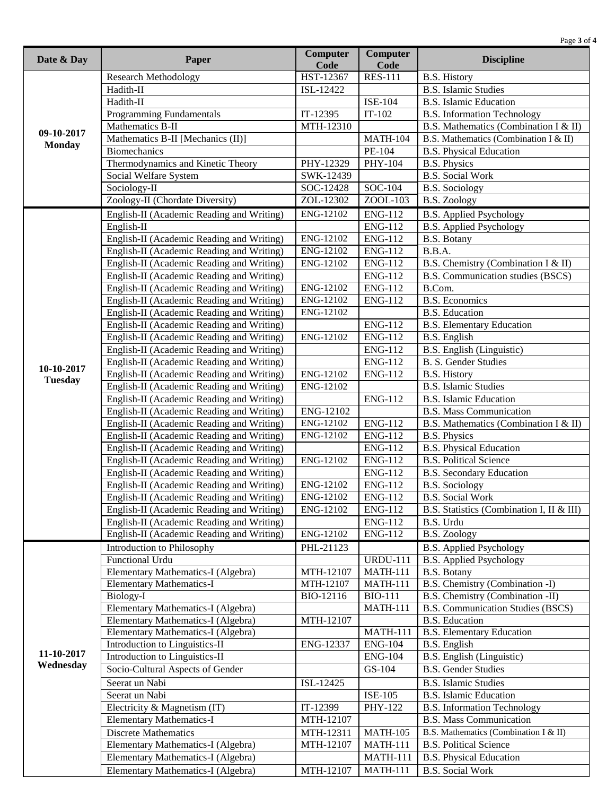|                              |                                                          |                  |                                   | Page 3 of 4                                                           |
|------------------------------|----------------------------------------------------------|------------------|-----------------------------------|-----------------------------------------------------------------------|
| Date & Day                   | Paper                                                    | Computer<br>Code | Computer<br>Code                  | <b>Discipline</b>                                                     |
| 09-10-2017<br><b>Monday</b>  | <b>Research Methodology</b>                              | HST-12367        | <b>RES-111</b>                    | B.S. History                                                          |
|                              | Hadith-II                                                | ISL-12422        |                                   | <b>B.S. Islamic Studies</b>                                           |
|                              | Hadith-II                                                |                  | <b>ISE-104</b>                    | <b>B.S. Islamic Education</b>                                         |
|                              | Programming Fundamentals                                 | IT-12395         | $IT-102$                          | <b>B.S.</b> Information Technology                                    |
|                              | Mathematics B-II                                         | MTH-12310        |                                   | B.S. Mathematics (Combination I & II)                                 |
|                              | Mathematics B-II [Mechanics (II)]                        |                  | <b>MATH-104</b>                   | B.S. Mathematics (Combination I & II)                                 |
|                              | <b>Biomechanics</b><br>Thermodynamics and Kinetic Theory | PHY-12329        | PE-104<br>PHY-104                 | <b>B.S. Physical Education</b>                                        |
|                              | Social Welfare System                                    | SWK-12439        |                                   | <b>B.S. Physics</b><br><b>B.S. Social Work</b>                        |
|                              | Sociology-II                                             | SOC-12428        | SOC-104                           | <b>B.S. Sociology</b>                                                 |
|                              | Zoology-II (Chordate Diversity)                          | ZOL-12302        | ZOOL-103                          | B.S. Zoology                                                          |
|                              | English-II (Academic Reading and Writing)                | ENG-12102        | <b>ENG-112</b>                    | <b>B.S. Applied Psychology</b>                                        |
|                              | English-II                                               |                  | <b>ENG-112</b>                    | <b>B.S. Applied Psychology</b>                                        |
|                              | English-II (Academic Reading and Writing)                | ENG-12102        | <b>ENG-112</b>                    | <b>B.S. Botany</b>                                                    |
|                              | English-II (Academic Reading and Writing)                | ENG-12102        | <b>ENG-112</b>                    | B.B.A.                                                                |
|                              | English-II (Academic Reading and Writing)                | ENG-12102        | <b>ENG-112</b>                    | B.S. Chemistry (Combination I & II)                                   |
|                              | English-II (Academic Reading and Writing)                |                  | <b>ENG-112</b>                    | B.S. Communication studies (BSCS)                                     |
|                              | English-II (Academic Reading and Writing)                | ENG-12102        | <b>ENG-112</b>                    | B.Com.                                                                |
|                              | English-II (Academic Reading and Writing)                | ENG-12102        | <b>ENG-112</b>                    | <b>B.S. Economics</b>                                                 |
|                              | English-II (Academic Reading and Writing)                | ENG-12102        |                                   | <b>B.S.</b> Education                                                 |
|                              | English-II (Academic Reading and Writing)                |                  | <b>ENG-112</b>                    | <b>B.S. Elementary Education</b>                                      |
|                              | English-II (Academic Reading and Writing)                | ENG-12102        | <b>ENG-112</b>                    | <b>B.S.</b> English                                                   |
|                              | English-II (Academic Reading and Writing)                |                  | <b>ENG-112</b>                    | B.S. English (Linguistic)                                             |
|                              | English-II (Academic Reading and Writing)                |                  | <b>ENG-112</b>                    | B. S. Gender Studies                                                  |
| 10-10-2017<br><b>Tuesday</b> | English-II (Academic Reading and Writing)                | ENG-12102        | <b>ENG-112</b>                    | <b>B.S. History</b>                                                   |
|                              | English-II (Academic Reading and Writing)                | ENG-12102        |                                   | <b>B.S. Islamic Studies</b>                                           |
|                              | English-II (Academic Reading and Writing)                |                  | <b>ENG-112</b>                    | <b>B.S. Islamic Education</b>                                         |
|                              | English-II (Academic Reading and Writing)                | ENG-12102        |                                   | <b>B.S. Mass Communication</b>                                        |
|                              | English-II (Academic Reading and Writing)                | ENG-12102        | <b>ENG-112</b>                    | B.S. Mathematics (Combination I & II)                                 |
|                              | English-II (Academic Reading and Writing)                | ENG-12102        | <b>ENG-112</b>                    | <b>B.S. Physics</b>                                                   |
|                              | English-II (Academic Reading and Writing)                |                  | <b>ENG-112</b>                    | <b>B.S. Physical Education</b>                                        |
|                              | English-II (Academic Reading and Writing)                | ENG-12102        | <b>ENG-112</b>                    | <b>B.S. Political Science</b>                                         |
|                              | English-II (Academic Reading and Writing)                |                  | <b>ENG-112</b>                    | <b>B.S. Secondary Education</b>                                       |
|                              | English-II (Academic Reading and Writing)                | ENG-12102        | $ENG-112$                         | <b>B.S. Sociology</b>                                                 |
|                              | English-II (Academic Reading and Writing)                | ENG-12102        | <b>ENG-112</b>                    | <b>B.S. Social Work</b>                                               |
|                              | English-II (Academic Reading and Writing)                | ENG-12102        | <b>ENG-112</b>                    | B.S. Statistics (Combination I, II & III)                             |
|                              | English-II (Academic Reading and Writing)                |                  | <b>ENG-112</b>                    | B.S. Urdu                                                             |
|                              | English-II (Academic Reading and Writing)                | ENG-12102        | $ENG-112$                         | <b>B.S. Zoology</b>                                                   |
|                              | <b>Introduction to Philosophy</b>                        | PHL-21123        |                                   | <b>B.S. Applied Psychology</b>                                        |
|                              | Functional Urdu                                          |                  | <b>URDU-111</b>                   | <b>B.S. Applied Psychology</b>                                        |
|                              | Elementary Mathematics-I (Algebra)                       | MTH-12107        | <b>MATH-111</b>                   | B.S. Botany                                                           |
|                              | <b>Elementary Mathematics-I</b>                          | MTH-12107        | <b>MATH-111</b>                   | B.S. Chemistry (Combination -I)                                       |
|                              | Biology-I<br>Elementary Mathematics-I (Algebra)          | BIO-12116        | <b>BIO-111</b><br><b>MATH-111</b> | B.S. Chemistry (Combination -II)<br>B.S. Communication Studies (BSCS) |
|                              | Elementary Mathematics-I (Algebra)                       | MTH-12107        |                                   | <b>B.S.</b> Education                                                 |
|                              | Elementary Mathematics-I (Algebra)                       |                  | <b>MATH-111</b>                   | <b>B.S. Elementary Education</b>                                      |
| 11-10-2017<br>Wednesday      | Introduction to Linguistics-II                           | ENG-12337        | <b>ENG-104</b>                    | B.S. English                                                          |
|                              | Introduction to Linguistics-II                           |                  | <b>ENG-104</b>                    | B.S. English (Linguistic)                                             |
|                              | Socio-Cultural Aspects of Gender                         |                  | GS-104                            | <b>B.S. Gender Studies</b>                                            |
|                              | Seerat un Nabi                                           | ISL-12425        |                                   | <b>B.S. Islamic Studies</b>                                           |
|                              | Seerat un Nabi                                           |                  | <b>ISE-105</b>                    | <b>B.S. Islamic Education</b>                                         |
|                              | Electricity & Magnetism (IT)                             | IT-12399         | PHY-122                           | <b>B.S.</b> Information Technology                                    |
|                              | <b>Elementary Mathematics-I</b>                          | MTH-12107        |                                   | <b>B.S. Mass Communication</b>                                        |
|                              | Discrete Mathematics                                     | MTH-12311        | <b>MATH-105</b>                   | B.S. Mathematics (Combination I & II)                                 |
|                              | Elementary Mathematics-I (Algebra)                       | MTH-12107        | <b>MATH-111</b>                   | <b>B.S. Political Science</b>                                         |
|                              | Elementary Mathematics-I (Algebra)                       |                  | <b>MATH-111</b>                   | <b>B.S. Physical Education</b>                                        |
|                              | Elementary Mathematics-I (Algebra)                       | MTH-12107        | <b>MATH-111</b>                   | <b>B.S. Social Work</b>                                               |